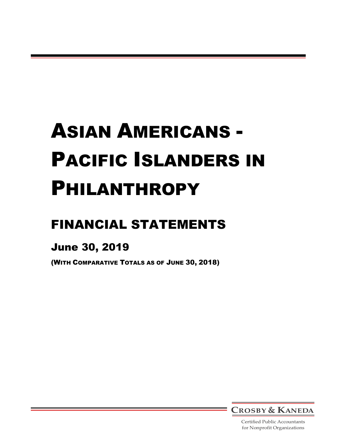# FINANCIAL STATEMENTS

# June 30, 2019

(WITH COMPARATIVE TOTALS AS OF JUNE 30, 2018)



Certified Public Accountants for Nonprofit Organizations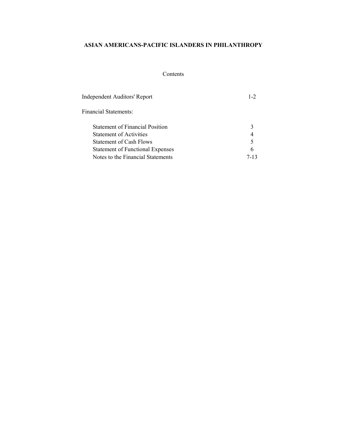# Contents

| Independent Auditors' Report            | $1 - 2$ |
|-----------------------------------------|---------|
| Financial Statements:                   |         |
| <b>Statement of Financial Position</b>  | 3       |
| Statement of Activities                 | 4       |
| <b>Statement of Cash Flows</b>          | 5       |
| <b>Statement of Functional Expenses</b> | 6       |
| Notes to the Financial Statements       | 7-13    |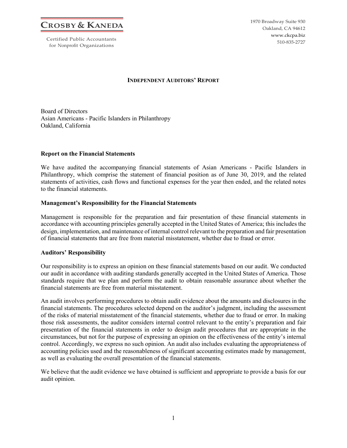**CROSBY & KANEDA**

Certified Public Accountants for Nonprofit Organizations

1970 Broadway Suite 930 Oakland, CA 94612 www.ckcpa.biz 510-835-2727

# **INDEPENDENT AUDITORS' REPORT**

Board of Directors Asian Americans - Pacific Islanders in Philanthropy Oakland, California

# **Report on the Financial Statements**

We have audited the accompanying financial statements of Asian Americans - Pacific Islanders in Philanthropy, which comprise the statement of financial position as of June 30, 2019, and the related statements of activities, cash flows and functional expenses for the year then ended, and the related notes to the financial statements.

# **Management's Responsibility for the Financial Statements**

Management is responsible for the preparation and fair presentation of these financial statements in accordance with accounting principles generally accepted in the United States of America; this includes the design, implementation, and maintenance of internal control relevant to the preparation and fair presentation of financial statements that are free from material misstatement, whether due to fraud or error.

#### **Auditors' Responsibility**

Our responsibility is to express an opinion on these financial statements based on our audit. We conducted our audit in accordance with auditing standards generally accepted in the United States of America. Those standards require that we plan and perform the audit to obtain reasonable assurance about whether the financial statements are free from material misstatement.

An audit involves performing procedures to obtain audit evidence about the amounts and disclosures in the financial statements. The procedures selected depend on the auditor's judgment, including the assessment of the risks of material misstatement of the financial statements, whether due to fraud or error. In making those risk assessments, the auditor considers internal control relevant to the entity's preparation and fair presentation of the financial statements in order to design audit procedures that are appropriate in the circumstances, but not for the purpose of expressing an opinion on the effectiveness of the entity's internal control. Accordingly, we express no such opinion. An audit also includes evaluating the appropriateness of accounting policies used and the reasonableness of significant accounting estimates made by management, as well as evaluating the overall presentation of the financial statements.

We believe that the audit evidence we have obtained is sufficient and appropriate to provide a basis for our audit opinion.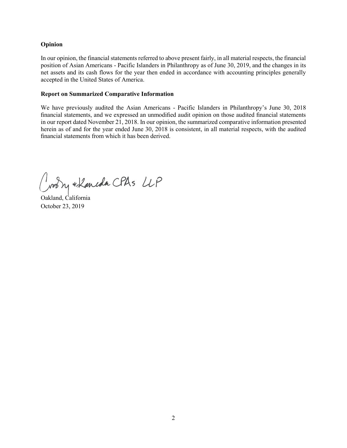# **Opinion**

In our opinion, the financial statements referred to above present fairly, in all material respects, the financial position of Asian Americans - Pacific Islanders in Philanthropy as of June 30, 2019, and the changes in its net assets and its cash flows for the year then ended in accordance with accounting principles generally accepted in the United States of America.

# **Report on Summarized Comparative Information**

We have previously audited the Asian Americans - Pacific Islanders in Philanthropy's June 30, 2018 financial statements, and we expressed an unmodified audit opinion on those audited financial statements in our report dated November 21, 2018. In our opinion, the summarized comparative information presented herein as of and for the year ended June 30, 2018 is consistent, in all material respects, with the audited financial statements from which it has been derived.

Joodry + Laneda CPAS UP

Oakland, California October 23, 2019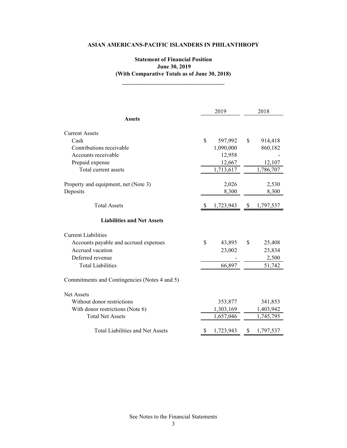# **Statement of Financial Position June 30, 2019 (With Comparative Totals as of June 30, 2018)**

|                                               |              | 2019      | 2018 |           |  |  |
|-----------------------------------------------|--------------|-----------|------|-----------|--|--|
| <b>Assets</b>                                 |              |           |      |           |  |  |
| <b>Current Assets</b>                         |              |           |      |           |  |  |
| Cash                                          | \$           | 597,992   | S.   | 914,418   |  |  |
| Contributions receivable                      |              | 1,090,000 |      | 860,182   |  |  |
| Accounts receivable                           |              | 12,958    |      |           |  |  |
| Prepaid expense                               |              | 12,667    |      | 12,107    |  |  |
| Total current assets                          |              | 1,713,617 |      | 1,786,707 |  |  |
| Property and equipment, net (Note 3)          |              | 2,026     |      | 2,530     |  |  |
| Deposits                                      |              | 8,300     |      | 8,300     |  |  |
| <b>Total Assets</b>                           | <sup>2</sup> | 1,723,943 | S    | 1,797,537 |  |  |
| <b>Liabilities and Net Assets</b>             |              |           |      |           |  |  |
| <b>Current Liabilities</b>                    |              |           |      |           |  |  |
| Accounts payable and accrued expenses         | \$           | 43,895    | \$   | 25,408    |  |  |
| Accrued vacation                              |              | 23,002    |      | 23,834    |  |  |
| Deferred revenue                              |              |           |      | 2,500     |  |  |
| <b>Total Liabilities</b>                      |              | 66,897    |      | 51,742    |  |  |
| Commitments and Contingencies (Notes 4 and 5) |              |           |      |           |  |  |
| <b>Net Assets</b>                             |              |           |      |           |  |  |
| Without donor restrictions                    |              | 353,877   |      | 341,853   |  |  |
| With donor restrictions (Note 6)              |              | 1,303,169 |      | 1,403,942 |  |  |
| <b>Total Net Assets</b>                       |              | 1,657,046 |      | 1,745,795 |  |  |
| Total Liabilities and Net Assets              | \$           | 1,723,943 | \$   | 1,797,537 |  |  |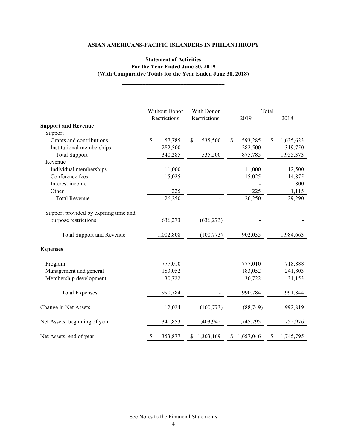# **Statement of Activities For the Year Ended June 30, 2019 (With Comparative Totals for the Year Ended June 30, 2018)**

|                                       |    | Without Donor | With Donor |              |              |           | Total |           |  |
|---------------------------------------|----|---------------|------------|--------------|--------------|-----------|-------|-----------|--|
|                                       |    | Restrictions  |            | Restrictions |              | 2019      |       | 2018      |  |
| <b>Support and Revenue</b>            |    |               |            |              |              |           |       |           |  |
| Support                               |    |               |            |              |              |           |       |           |  |
| Grants and contributions              | \$ | 57,785        | \$         | 535,500      | $\mathbb{S}$ | 593,285   | \$    | 1,635,623 |  |
| Institutional memberships             |    | 282,500       |            |              |              | 282,500   |       | 319,750   |  |
| <b>Total Support</b>                  |    | 340,285       |            | 535,500      |              | 875,785   |       | 1,955,373 |  |
| Revenue                               |    |               |            |              |              |           |       |           |  |
| Individual memberships                |    | 11,000        |            |              |              | 11,000    |       | 12,500    |  |
| Conference fees                       |    | 15,025        |            |              |              | 15,025    |       | 14,875    |  |
| Interest income                       |    |               |            |              |              |           |       | 800       |  |
| Other                                 |    | 225           |            |              |              | 225       |       | 1,115     |  |
| <b>Total Revenue</b>                  |    | 26,250        |            |              |              | 26,250    |       | 29,290    |  |
| Support provided by expiring time and |    |               |            |              |              |           |       |           |  |
| purpose restrictions                  |    | 636,273       |            | (636, 273)   |              |           |       |           |  |
| <b>Total Support and Revenue</b>      |    | 1,002,808     | (100,773)  |              |              | 902,035   |       | 1,984,663 |  |
| <b>Expenses</b>                       |    |               |            |              |              |           |       |           |  |
| Program                               |    | 777,010       |            |              |              | 777,010   |       | 718,888   |  |
| Management and general                |    | 183,052       |            |              |              | 183,052   |       | 241,803   |  |
| Membership development                |    | 30,722        |            |              |              | 30,722    |       | 31,153    |  |
| <b>Total Expenses</b>                 |    | 990,784       |            |              |              | 990,784   |       | 991,844   |  |
| Change in Net Assets                  |    | 12,024        |            | (100, 773)   |              | (88, 749) |       | 992,819   |  |
| Net Assets, beginning of year         |    | 341,853       |            | 1,403,942    |              | 1,745,795 |       | 752,976   |  |
| Net Assets, end of year               | \$ | 353,877       | S          | 1,303,169    | S            | 1,657,046 | S     | 1,745,795 |  |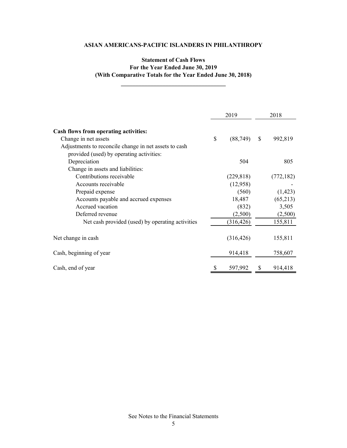# **Statement of Cash Flows For the Year Ended June 30, 2019 (With Comparative Totals for the Year Ended June 30, 2018)**

**\_\_\_\_\_\_\_\_\_\_\_\_\_\_\_\_\_\_\_\_\_\_\_\_\_\_\_\_\_\_\_\_\_\_\_**

|                                                       | 2019            |              | 2018       |
|-------------------------------------------------------|-----------------|--------------|------------|
| Cash flows from operating activities:                 |                 |              |            |
| Change in net assets                                  | \$<br>(88, 749) | $\mathbb{S}$ | 992,819    |
| Adjustments to reconcile change in net assets to cash |                 |              |            |
| provided (used) by operating activities:              |                 |              |            |
| Depreciation                                          | 504             |              | 805        |
| Change in assets and liabilities:                     |                 |              |            |
| Contributions receivable                              | (229, 818)      |              | (772, 182) |
| Accounts receivable                                   | (12,958)        |              |            |
| Prepaid expense                                       | (560)           |              | (1, 423)   |
| Accounts payable and accrued expenses                 | 18,487          |              | (65,213)   |
| Accrued vacation                                      | (832)           |              | 3,505      |
| Deferred revenue                                      | (2,500)         |              | (2,500)    |
| Net cash provided (used) by operating activities      | (316, 426)      |              | 155,811    |
| Net change in cash                                    | (316, 426)      |              | 155,811    |
| Cash, beginning of year                               | 914,418         |              | 758,607    |
| Cash, end of year                                     | 597,992         |              | 914,418    |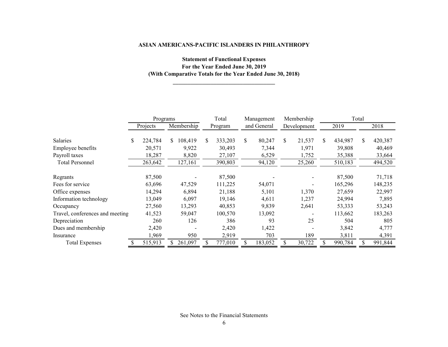# **Statement of Functional Expenses For the Year Ended June 30, 2019 (With Comparative Totals for the Year Ended June 30, 2018)**

**\_\_\_\_\_\_\_\_\_\_\_\_\_\_\_\_\_\_\_\_\_\_\_\_\_\_\_\_\_\_\_\_\_\_\_**

|                                 | Programs      |     |            |     | Total<br>Management |     |             | Membership |             | Total |         |     |         |
|---------------------------------|---------------|-----|------------|-----|---------------------|-----|-------------|------------|-------------|-------|---------|-----|---------|
|                                 | Projects      |     | Membership |     | Program             |     | and General |            | Development |       | 2019    |     | 2018    |
| <b>Salaries</b>                 | \$<br>224,784 | \$. | 108,419    | \$. | 333,203             | \$. | 80,247      | \$         | 21,537      | \$    | 434,987 | \$. | 420,387 |
| Employee benefits               | 20,571        |     | 9,922      |     | 30,493              |     | 7,344       |            | 1,971       |       | 39,808  |     | 40,469  |
| Payroll taxes                   | 18,287        |     | 8,820      |     | 27,107              |     | 6,529       |            | 1,752       |       | 35,388  |     | 33,664  |
| <b>Total Personnel</b>          | 263,642       |     | 127,161    |     | 390,803             |     | 94,120      |            | 25,260      |       | 510,183 |     | 494,520 |
| Regrants                        | 87,500        |     |            |     | 87,500              |     |             |            |             |       | 87,500  |     | 71,718  |
| Fees for service                | 63,696        |     | 47,529     |     | 111,225             |     | 54,071      |            |             |       | 165,296 |     | 148,235 |
| Office expenses                 | 14,294        |     | 6,894      |     | 21,188              |     | 5,101       |            | 1,370       |       | 27,659  |     | 22,997  |
| Information technology          | 13,049        |     | 6,097      |     | 19,146              |     | 4,611       |            | 1,237       |       | 24,994  |     | 7,895   |
| Occupancy                       | 27,560        |     | 13,293     |     | 40,853              |     | 9,839       |            | 2,641       |       | 53,333  |     | 53,243  |
| Travel, conferences and meeting | 41,523        |     | 59,047     |     | 100,570             |     | 13,092      |            |             |       | 113,662 |     | 183,263 |
| Depreciation                    | 260           |     | 126        |     | 386                 |     | 93          |            | 25          |       | 504     |     | 805     |
| Dues and membership             | 2,420         |     |            |     | 2,420               |     | 1,422       |            |             |       | 3,842   |     | 4,777   |
| Insurance                       | 1,969         |     | 950        |     | 2,919               |     | 703         |            | 189         |       | 3,811   |     | 4,391   |
| <b>Total Expenses</b>           | \$<br>515,913 |     | 261,097    | \$  | 777,010             |     | 183,052     |            | 30,722      |       | 990,784 |     | 991,844 |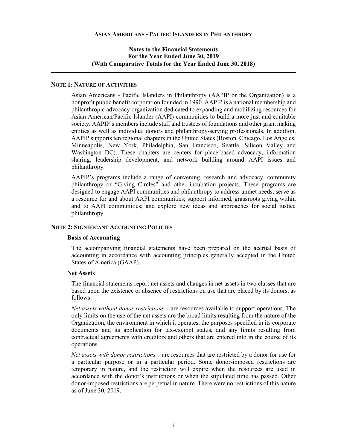# **NOTE 1: NATURE OF ACTIVITIES**

Asian Americans - Pacific Islanders in Philanthropy (AAPIP or the Organization) is a nonprofit public benefit corporation founded in 1990. AAPIP is a national membership and philanthropic advocacy organization dedicated to expanding and mobilizing resources for Asian American/Pacific Islander (AAPI) communities to build a more just and equitable society. AAPIP's members include staff and trustees of foundations and other grant making entities as well as individual donors and philanthropy-serving professionals. In addition, AAPIP supports ten regional chapters in the United States (Boston, Chicago, Los Angeles, Minneapolis, New York, Philadelphia, San Francisco, Seattle, Silicon Valley and Washington DC). These chapters are centers for place-based advocacy, information sharing, leadership development, and network building around AAPI issues and philanthropy.

AAPIP's programs include a range of convening, research and advocacy, community philanthropy or "Giving Circles" and other incubation projects. These programs are designed to engage AAPI communities and philanthropy to address unmet needs; serve as a resource for and about AAPI communities; support informed, grassroots giving within and to AAPI communities; and explore new ideas and approaches for social justice philanthropy.

# **NOTE 2: SIGNIFICANT ACCOUNTING POLICIES**

#### **Basis of Accounting**

The accompanying financial statements have been prepared on the accrual basis of accounting in accordance with accounting principles generally accepted in the United States of America (GAAP).

#### **Net Assets**

The financial statements report net assets and changes in net assets in two classes that are based upon the existence or absence of restrictions on use that are placed by its donors, as follows:

*Net assets without donor restrictions* – are resources available to support operations. The only limits on the use of the net assets are the broad limits resulting from the nature of the Organization, the environment in which it operates, the purposes specified in its corporate documents and its application for tax-exempt status, and any limits resulting from contractual agreements with creditors and others that are entered into in the course of its operations.

*Net assets with donor restrictions* – are resources that are restricted by a donor for use for a particular purpose or in a particular period. Some donor-imposed restrictions are temporary in nature, and the restriction will expire when the resources are used in accordance with the donor's instructions or when the stipulated time has passed. Other donor-imposed restrictions are perpetual in nature. There were no restrictions of this nature as of June 30, 2019.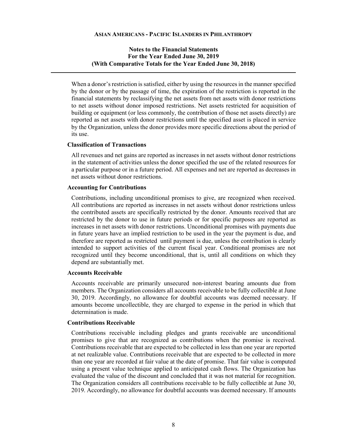When a donor's restriction is satisfied, either by using the resources in the manner specified by the donor or by the passage of time, the expiration of the restriction is reported in the financial statements by reclassifying the net assets from net assets with donor restrictions to net assets without donor imposed restrictions. Net assets restricted for acquisition of building or equipment (or less commonly, the contribution of those net assets directly) are reported as net assets with donor restrictions until the specified asset is placed in service by the Organization, unless the donor provides more specific directions about the period of its use.

#### **Classification of Transactions**

All revenues and net gains are reported as increases in net assets without donor restrictions in the statement of activities unless the donor specified the use of the related resources for a particular purpose or in a future period. All expenses and net are reported as decreases in net assets without donor restrictions.

#### **Accounting for Contributions**

Contributions, including unconditional promises to give, are recognized when received. All contributions are reported as increases in net assets without donor restrictions unless the contributed assets are specifically restricted by the donor. Amounts received that are restricted by the donor to use in future periods or for specific purposes are reported as increases in net assets with donor restrictions. Unconditional promises with payments due in future years have an implied restriction to be used in the year the payment is due, and therefore are reported as restricted until payment is due, unless the contribution is clearly intended to support activities of the current fiscal year. Conditional promises are not recognized until they become unconditional, that is, until all conditions on which they depend are substantially met.

#### **Accounts Receivable**

Accounts receivable are primarily unsecured non-interest bearing amounts due from members. The Organization considers all accounts receivable to be fully collectible at June 30, 2019. Accordingly, no allowance for doubtful accounts was deemed necessary. If amounts become uncollectible, they are charged to expense in the period in which that determination is made.

#### **Contributions Receivable**

Contributions receivable including pledges and grants receivable are unconditional promises to give that are recognized as contributions when the promise is received. Contributions receivable that are expected to be collected in less than one year are reported at net realizable value. Contributions receivable that are expected to be collected in more than one year are recorded at fair value at the date of promise. That fair value is computed using a present value technique applied to anticipated cash flows. The Organization has evaluated the value of the discount and concluded that it was not material for recognition. The Organization considers all contributions receivable to be fully collectible at June 30, 2019. Accordingly, no allowance for doubtful accounts was deemed necessary. If amounts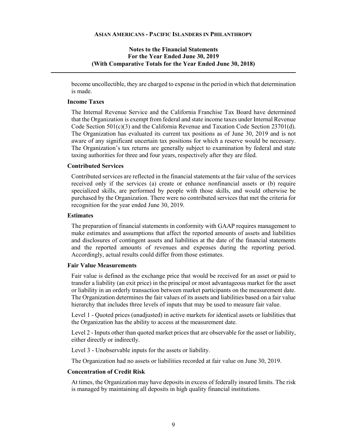become uncollectible, they are charged to expense in the period in which that determination is made.

#### **Income Taxes**

The Internal Revenue Service and the California Franchise Tax Board have determined that the Organization is exempt from federal and state income taxes under Internal Revenue Code Section 501(c)(3) and the California Revenue and Taxation Code Section 23701(d). The Organization has evaluated its current tax positions as of June 30, 2019 and is not aware of any significant uncertain tax positions for which a reserve would be necessary. The Organization's tax returns are generally subject to examination by federal and state taxing authorities for three and four years, respectively after they are filed.

#### **Contributed Services**

Contributed services are reflected in the financial statements at the fair value of the services received only if the services (a) create or enhance nonfinancial assets or (b) require specialized skills, are performed by people with those skills, and would otherwise be purchased by the Organization. There were no contributed services that met the criteria for recognition for the year ended June 30, 2019.

#### **Estimates**

The preparation of financial statements in conformity with GAAP requires management to make estimates and assumptions that affect the reported amounts of assets and liabilities and disclosures of contingent assets and liabilities at the date of the financial statements and the reported amounts of revenues and expenses during the reporting period. Accordingly, actual results could differ from those estimates.

#### **Fair Value Measurements**

Fair value is defined as the exchange price that would be received for an asset or paid to transfer a liability (an exit price) in the principal or most advantageous market for the asset or liability in an orderly transaction between market participants on the measurement date. The Organization determines the fair values of its assets and liabilities based on a fair value hierarchy that includes three levels of inputs that may be used to measure fair value.

Level 1 - Quoted prices (unadjusted) in active markets for identical assets or liabilities that the Organization has the ability to access at the measurement date.

Level 2 - Inputs other than quoted market prices that are observable for the asset or liability, either directly or indirectly.

Level 3 - Unobservable inputs for the assets or liability.

The Organization had no assets or liabilities recorded at fair value on June 30, 2019.

#### **Concentration of Credit Risk**

At times, the Organization may have deposits in excess of federally insured limits. The risk is managed by maintaining all deposits in high quality financial institutions.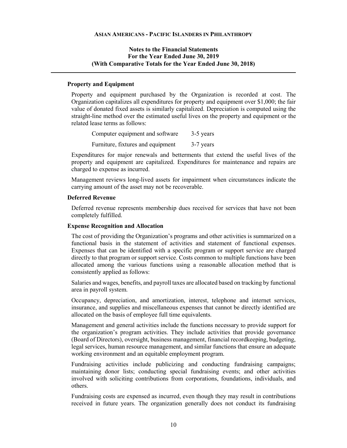# **Property and Equipment**

Property and equipment purchased by the Organization is recorded at cost. The Organization capitalizes all expenditures for property and equipment over \$1,000; the fair value of donated fixed assets is similarly capitalized. Depreciation is computed using the straight-line method over the estimated useful lives on the property and equipment or the related lease terms as follows:

| Computer equipment and software   | 3-5 years |
|-----------------------------------|-----------|
| Furniture, fixtures and equipment | 3-7 years |

Expenditures for major renewals and betterments that extend the useful lives of the property and equipment are capitalized. Expenditures for maintenance and repairs are charged to expense as incurred.

Management reviews long-lived assets for impairment when circumstances indicate the carrying amount of the asset may not be recoverable.

# **Deferred Revenue**

Deferred revenue represents membership dues received for services that have not been completely fulfilled.

#### **Expense Recognition and Allocation**

The cost of providing the Organization's programs and other activities is summarized on a functional basis in the statement of activities and statement of functional expenses. Expenses that can be identified with a specific program or support service are charged directly to that program or support service. Costs common to multiple functions have been allocated among the various functions using a reasonable allocation method that is consistently applied as follows:

Salaries and wages, benefits, and payroll taxes are allocated based on tracking by functional area in payroll system.

Occupancy, depreciation, and amortization, interest, telephone and internet services, insurance, and supplies and miscellaneous expenses that cannot be directly identified are allocated on the basis of employee full time equivalents.

Management and general activities include the functions necessary to provide support for the organization's program activities. They include activities that provide governance (Board of Directors), oversight, business management, financial recordkeeping, budgeting, legal services, human resource management, and similar functions that ensure an adequate working environment and an equitable employment program.

Fundraising activities include publicizing and conducting fundraising campaigns; maintaining donor lists; conducting special fundraising events; and other activities involved with soliciting contributions from corporations, foundations, individuals, and others.

Fundraising costs are expensed as incurred, even though they may result in contributions received in future years. The organization generally does not conduct its fundraising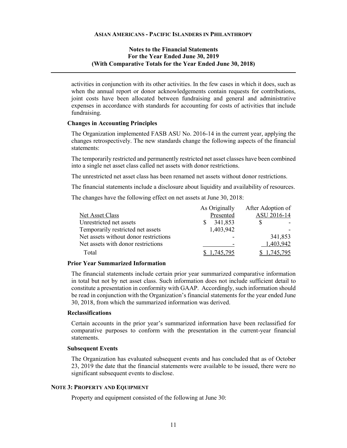activities in conjunction with its other activities. In the few cases in which it does, such as when the annual report or donor acknowledgements contain requests for contributions, joint costs have been allocated between fundraising and general and administrative expenses in accordance with standards for accounting for costs of activities that include fundraising.

#### **Changes in Accounting Principles**

The Organization implemented FASB ASU No. 2016-14 in the current year, applying the changes retrospectively. The new standards change the following aspects of the financial statements:

The temporarily restricted and permanently restricted net asset classes have been combined into a single net asset class called net assets with donor restrictions.

The unrestricted net asset class has been renamed net assets without donor restrictions.

The financial statements include a disclosure about liquidity and availability of resources.

The changes have the following effect on net assets at June 30, 2018:

|                                       | As Originally | After Adoption of |
|---------------------------------------|---------------|-------------------|
| Net Asset Class                       | Presented     | ASU 2016-14       |
| Unrestricted net assets               | 341,853       |                   |
| Temporarily restricted net assets     | 1,403,942     |                   |
| Net assets without donor restrictions |               | 341,853           |
| Net assets with donor restrictions    |               | 1,403,942         |
| Total                                 | 145 795       | 745.795           |

#### **Prior Year Summarized Information**

The financial statements include certain prior year summarized comparative information in total but not by net asset class. Such information does not include sufficient detail to constitute a presentation in conformity with GAAP. Accordingly, such information should be read in conjunction with the Organization's financial statements for the year ended June 30, 2018, from which the summarized information was derived.

#### **Reclassifications**

Certain accounts in the prior year's summarized information have been reclassified for comparative purposes to conform with the presentation in the current-year financial statements.

#### **Subsequent Events**

The Organization has evaluated subsequent events and has concluded that as of October 23, 2019 the date that the financial statements were available to be issued, there were no significant subsequent events to disclose.

#### **NOTE 3: PROPERTY AND EQUIPMENT**

Property and equipment consisted of the following at June 30: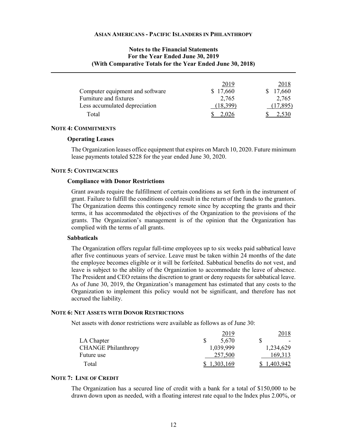# **Notes to the Financial Statements For the Year Ended June 30, 2019 (With Comparative Totals for the Year Ended June 30, 2018)**

|                                 | 2019     | 2018   |
|---------------------------------|----------|--------|
| Computer equipment and software | \$17,660 | 17,660 |
| Furniture and fixtures          | 2,765    | 2,765  |
| Less accumulated depreciation   | 18.399   | 7.895  |
| Total                           |          |        |

#### **NOTE 4: COMMITMENTS**

#### **Operating Leases**

The Organization leases office equipment that expires on March 10, 2020. Future minimum lease payments totaled \$228 for the year ended June 30, 2020.

#### **NOTE 5: CONTINGENCIES**

#### **Compliance with Donor Restrictions**

Grant awards require the fulfillment of certain conditions as set forth in the instrument of grant. Failure to fulfill the conditions could result in the return of the funds to the grantors. The Organization deems this contingency remote since by accepting the grants and their terms, it has accommodated the objectives of the Organization to the provisions of the grants. The Organization's management is of the opinion that the Organization has complied with the terms of all grants.

#### **Sabbaticals**

The Organization offers regular full-time employees up to six weeks paid sabbatical leave after five continuous years of service. Leave must be taken within 24 months of the date the employee becomes eligible or it will be forfeited. Sabbatical benefits do not vest, and leave is subject to the ability of the Organization to accommodate the leave of absence. The President and CEO retains the discretion to grant or deny requests for sabbatical leave. As of June 30, 2019, the Organization's management has estimated that any costs to the Organization to implement this policy would not be significant, and therefore has not accrued the liability.

#### **NOTE 6: NET ASSETS WITH DONOR RESTRICTIONS**

Net assets with donor restrictions were available as follows as of June 30:

|                            | 2019      | 2018      |
|----------------------------|-----------|-----------|
| LA Chapter                 | 5,670     |           |
| <b>CHANGE Philanthropy</b> | 1,039,999 | 1,234,629 |
| Future use                 | 257,500   | 169,313   |
| Total                      | 1,303,169 | 1.403.942 |

#### **NOTE 7: LINE OF CREDIT**

The Organization has a secured line of credit with a bank for a total of \$150,000 to be drawn down upon as needed, with a floating interest rate equal to the Index plus 2.00%, or